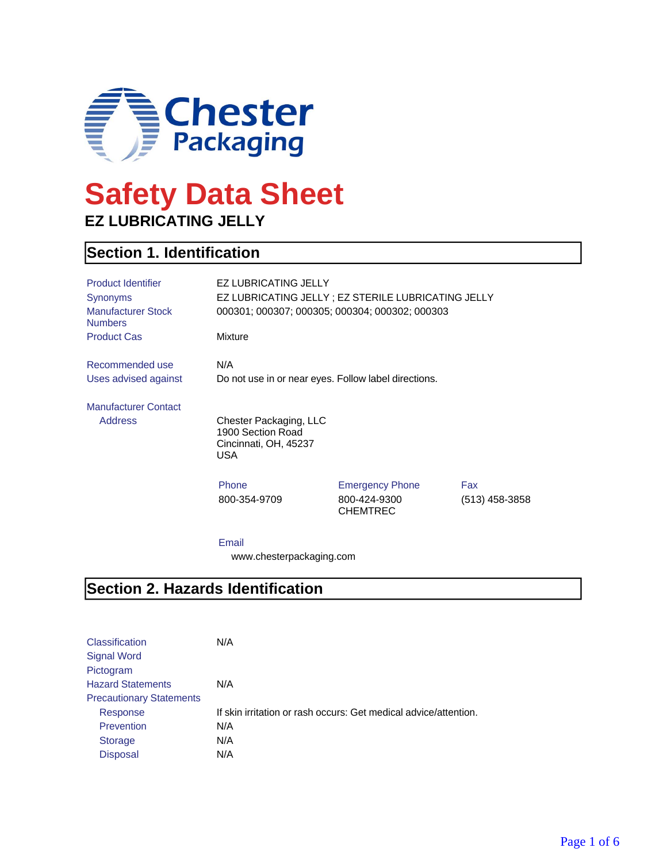

# **Safety Data Sheet EZ LUBRICATING JELLY**

### **Section 1. Identification**

| <b>Product Identifier</b><br>Synonyms<br><b>Manufacturer Stock</b><br><b>Numbers</b> | <b>EZ LUBRICATING JELLY</b><br>EZ LUBRICATING JELLY ; EZ STERILE LUBRICATING JELLY<br>000301; 000307; 000305; 000304; 000302; 000303 |                                                           |                         |
|--------------------------------------------------------------------------------------|--------------------------------------------------------------------------------------------------------------------------------------|-----------------------------------------------------------|-------------------------|
| <b>Product Cas</b>                                                                   | <b>Mixture</b>                                                                                                                       |                                                           |                         |
| Recommended use<br>Uses advised against                                              | N/A<br>Do not use in or near eyes. Follow label directions.                                                                          |                                                           |                         |
| <b>Manufacturer Contact</b>                                                          |                                                                                                                                      |                                                           |                         |
| <b>Address</b>                                                                       | Chester Packaging, LLC<br>1900 Section Road<br>Cincinnati, OH, 45237<br>USA                                                          |                                                           |                         |
|                                                                                      | Phone<br>800-354-9709                                                                                                                | <b>Emergency Phone</b><br>800-424-9300<br><b>CHEMTREC</b> | Fax<br>$(513)$ 458-3858 |
|                                                                                      | Email                                                                                                                                |                                                           |                         |

#### **Section 2. Hazards Identification**

| <b>Classification</b><br><b>Signal Word</b><br>Pictogram | N/A                                                              |
|----------------------------------------------------------|------------------------------------------------------------------|
| <b>Hazard Statements</b>                                 | N/A                                                              |
| <b>Precautionary Statements</b>                          |                                                                  |
| Response                                                 | If skin irritation or rash occurs: Get medical advice/attention. |
| Prevention                                               | N/A                                                              |
| <b>Storage</b>                                           | N/A                                                              |
| <b>Disposal</b>                                          | N/A                                                              |

www.chesterpackaging.com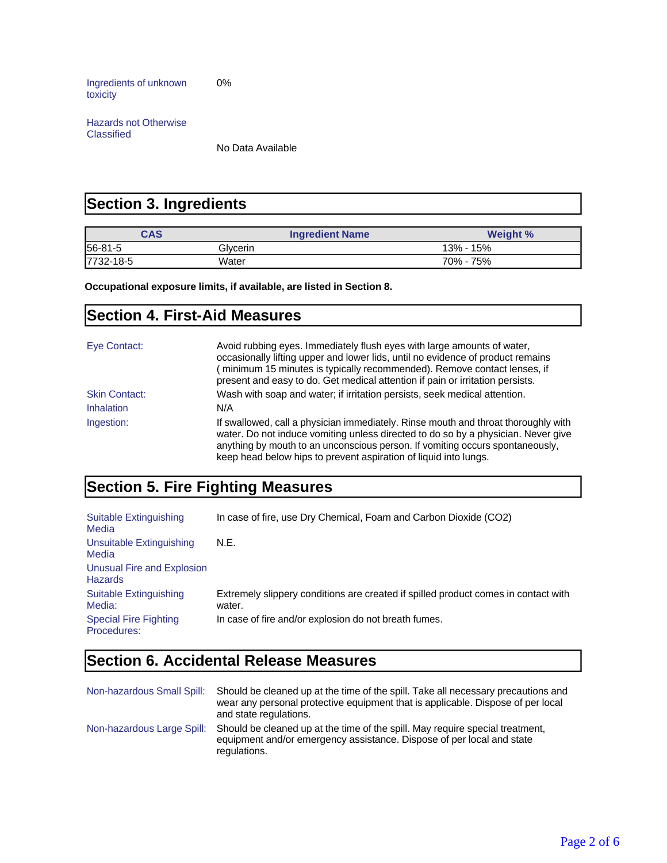Ingredients of unknown toxicity 0%

Hazards not Otherwise Classified

No Data Available

### **Section 3. Ingredients**

| <b>CAS</b> | <b>Ingredient Name</b> | <b>Weight %</b> |
|------------|------------------------|-----------------|
| 56-81-5    | Glvcerin               | 13% - 15%       |
| 7732-18-5  | Water                  | 70% - 75%       |

**Occupational exposure limits, if available, are listed in Section 8.**

#### **Section 4. First-Aid Measures**

| Eye Contact:         | Avoid rubbing eyes. Immediately flush eyes with large amounts of water,<br>occasionally lifting upper and lower lids, until no evidence of product remains<br>minimum 15 minutes is typically recommended). Remove contact lenses, if<br>present and easy to do. Get medical attention if pain or irritation persists.       |
|----------------------|------------------------------------------------------------------------------------------------------------------------------------------------------------------------------------------------------------------------------------------------------------------------------------------------------------------------------|
| <b>Skin Contact:</b> | Wash with soap and water; if irritation persists, seek medical attention.                                                                                                                                                                                                                                                    |
| <b>Inhalation</b>    | N/A                                                                                                                                                                                                                                                                                                                          |
| Ingestion:           | If swallowed, call a physician immediately. Rinse mouth and throat thoroughly with<br>water. Do not induce vomiting unless directed to do so by a physician. Never give<br>anything by mouth to an unconscious person. If vomiting occurs spontaneously,<br>keep head below hips to prevent aspiration of liquid into lungs. |

## **Section 5. Fire Fighting Measures**

| Suitable Extinguishing<br>Media              | In case of fire, use Dry Chemical, Foam and Carbon Dioxide (CO2)                             |
|----------------------------------------------|----------------------------------------------------------------------------------------------|
| Unsuitable Extinguishing<br>Media            | N.E.                                                                                         |
| Unusual Fire and Explosion<br><b>Hazards</b> |                                                                                              |
| Suitable Extinguishing<br>Media:             | Extremely slippery conditions are created if spilled product comes in contact with<br>water. |
| <b>Special Fire Fighting</b><br>Procedures:  | In case of fire and/or explosion do not breath fumes.                                        |

### **Section 6. Accidental Release Measures**

| Non-hazardous Small Spill: | Should be cleaned up at the time of the spill. Take all necessary precautions and<br>wear any personal protective equipment that is applicable. Dispose of per local<br>and state regulations. |
|----------------------------|------------------------------------------------------------------------------------------------------------------------------------------------------------------------------------------------|
| Non-hazardous Large Spill: | Should be cleaned up at the time of the spill. May require special treatment,<br>equipment and/or emergency assistance. Dispose of per local and state<br>regulations.                         |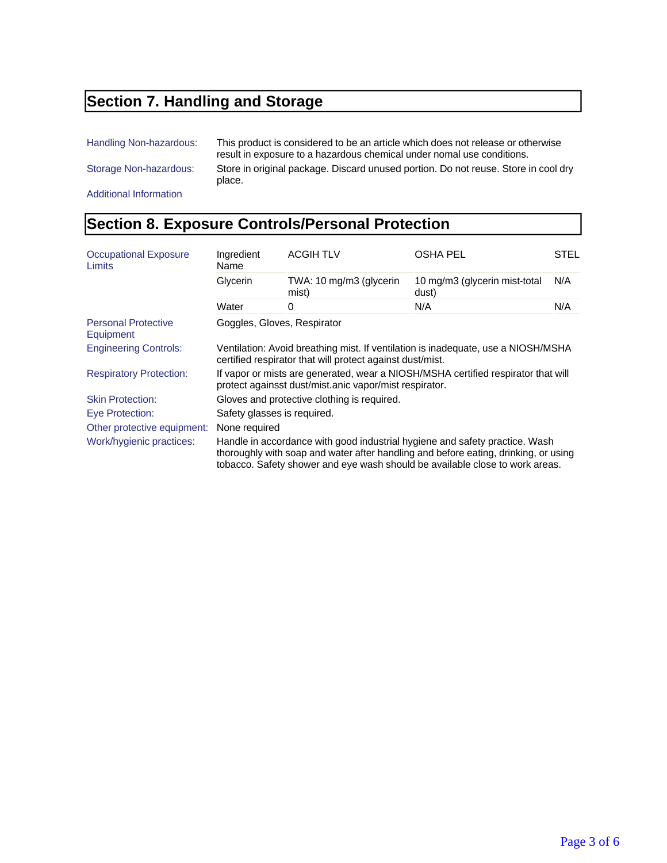### **Section 7. Handling and Storage**

Handling Non-hazardous: This product is considered to be an article which does not release or otherwise

result in exposure to a hazardous chemical under nomal use conditions. Storage Non-hazardous: Store in original package. Discard unused portion. Do not reuse. Store in cool dry place.

Additional Information

### **Section 8. Exposure Controls/Personal Protection**

| <b>Occupational Exposure</b><br>Limits  | Ingredient<br>Name                                                                                                                                                                                                                                 | <b>ACGIH TLV</b>                 | <b>OSHA PEL</b>                        | <b>STEL</b> |
|-----------------------------------------|----------------------------------------------------------------------------------------------------------------------------------------------------------------------------------------------------------------------------------------------------|----------------------------------|----------------------------------------|-------------|
|                                         | Glycerin                                                                                                                                                                                                                                           | TWA: 10 mg/m3 (glycerin<br>mist) | 10 mg/m3 (glycerin mist-total<br>dust) | N/A         |
|                                         | Water                                                                                                                                                                                                                                              | 0                                | N/A                                    | N/A         |
| <b>Personal Protective</b><br>Equipment | Goggles, Gloves, Respirator                                                                                                                                                                                                                        |                                  |                                        |             |
| <b>Engineering Controls:</b>            | Ventilation: Avoid breathing mist. If ventilation is inadequate, use a NIOSH/MSHA<br>certified respirator that will protect against dust/mist.                                                                                                     |                                  |                                        |             |
| <b>Respiratory Protection:</b>          | If vapor or mists are generated, wear a NIOSH/MSHA certified respirator that will<br>protect againsst dust/mist.anic vapor/mist respirator.                                                                                                        |                                  |                                        |             |
| <b>Skin Protection:</b>                 | Gloves and protective clothing is required.                                                                                                                                                                                                        |                                  |                                        |             |
| Eye Protection:                         | Safety glasses is required.                                                                                                                                                                                                                        |                                  |                                        |             |
| Other protective equipment:             | None required                                                                                                                                                                                                                                      |                                  |                                        |             |
| Work/hygienic practices:                | Handle in accordance with good industrial hygiene and safety practice. Wash<br>thoroughly with soap and water after handling and before eating, drinking, or using<br>tobacco. Safety shower and eye wash should be available close to work areas. |                                  |                                        |             |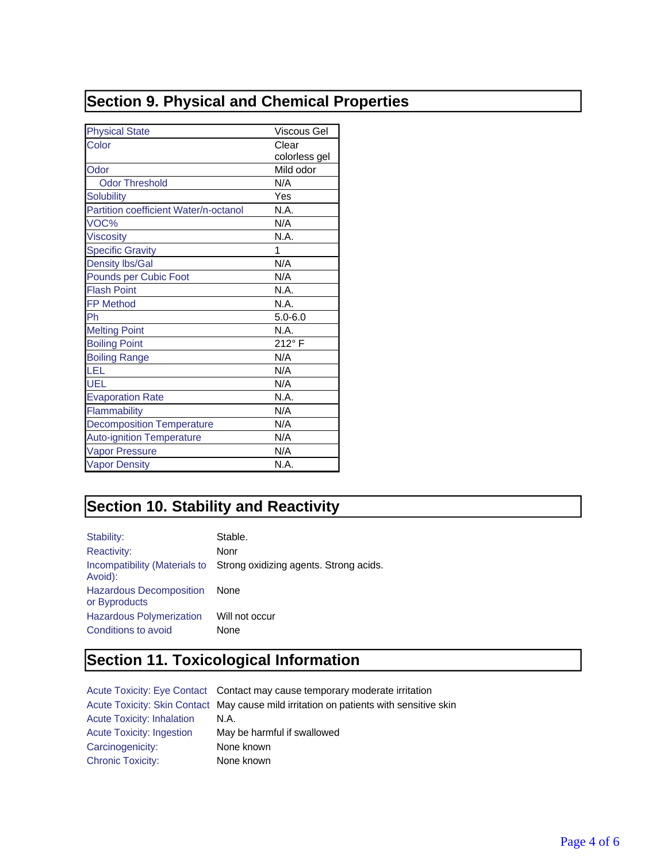## **Section 9. Physical and Chemical Properties**

| <b>Physical State</b>                 | Viscous Gel   |
|---------------------------------------|---------------|
| Color                                 | Clear         |
|                                       | colorless gel |
| Odor                                  | Mild odor     |
| <b>Odor Threshold</b>                 | N/A           |
| <b>Solubility</b>                     | Yes           |
| Partition coefficient Water/n-octanol | N.A.          |
| VOC%                                  | N/A           |
| <b>Viscosity</b>                      | N.A.          |
| <b>Specific Gravity</b>               | 1             |
| <b>Density lbs/Gal</b>                | N/A           |
| Pounds per Cubic Foot                 | N/A           |
| <b>Flash Point</b>                    | N.A.          |
| <b>FP Method</b>                      | N.A.          |
| Ph                                    | $5.0 - 6.0$   |
| <b>Melting Point</b>                  | N.A.          |
| <b>Boiling Point</b>                  | 212°F         |
| <b>Boiling Range</b>                  | N/A           |
| LEL                                   | N/A           |
| UEL                                   | N/A           |
| <b>Evaporation Rate</b>               | N.A.          |
| Flammability                          | N/A           |
| <b>Decomposition Temperature</b>      | N/A           |
| <b>Auto-ignition Temperature</b>      | N/A           |
| <b>Vapor Pressure</b>                 | N/A           |
| <b>Vapor Density</b>                  | N.A.          |

## **Section 10. Stability and Reactivity**

| Stability:                                      | Stable.                                                              |
|-------------------------------------------------|----------------------------------------------------------------------|
| <b>Reactivity:</b>                              | Nonr                                                                 |
| Avoid):                                         | Incompatibility (Materials to Strong oxidizing agents. Strong acids. |
| <b>Hazardous Decomposition</b><br>or Byproducts | None                                                                 |
| <b>Hazardous Polymerization</b>                 | Will not occur                                                       |
| Conditions to avoid                             | None                                                                 |

## **Section 11. Toxicological Information**

|                                   | Acute Toxicity: Eye Contact Contact may cause temporary moderate irritation            |
|-----------------------------------|----------------------------------------------------------------------------------------|
|                                   | Acute Toxicity: Skin Contact May cause mild irritation on patients with sensitive skin |
| <b>Acute Toxicity: Inhalation</b> | N.A.                                                                                   |
| <b>Acute Toxicity: Ingestion</b>  | May be harmful if swallowed                                                            |
| Carcinogenicity:                  | None known                                                                             |
| <b>Chronic Toxicity:</b>          | None known                                                                             |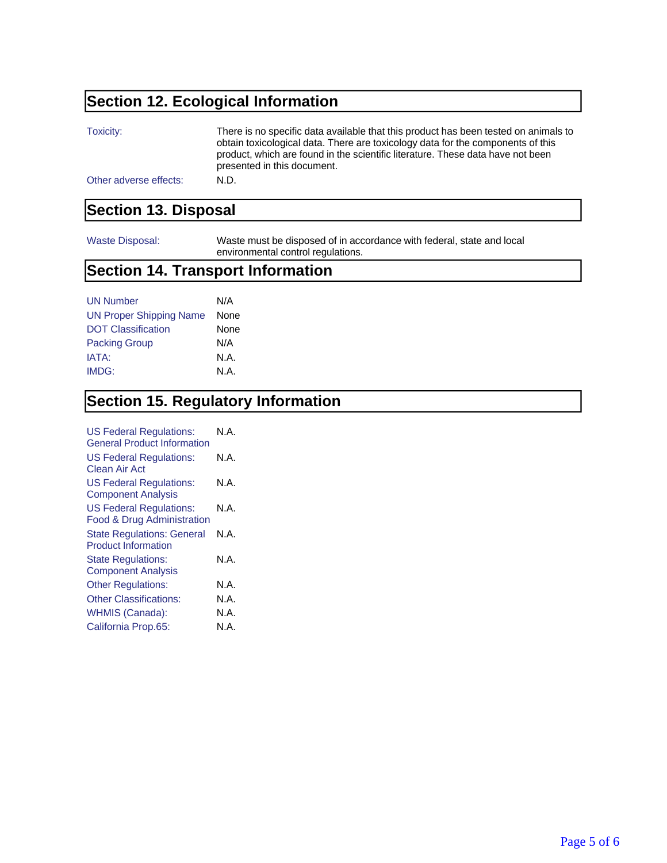## **Section 12. Ecological Information**

| Toxicity:              | There is no specific data available that this product has been tested on animals to<br>obtain toxicological data. There are toxicology data for the components of this<br>product, which are found in the scientific literature. These data have not been<br>presented in this document. |
|------------------------|------------------------------------------------------------------------------------------------------------------------------------------------------------------------------------------------------------------------------------------------------------------------------------------|
| Other adverse effects: | N.D.                                                                                                                                                                                                                                                                                     |

#### **Section 13. Disposal**

Waste Disposal: Waste must be disposed of in accordance with federal, state and local environmental control regulations.

#### **Section 14. Transport Information**

| <b>UN Number</b>               | N/A  |
|--------------------------------|------|
| <b>UN Proper Shipping Name</b> | None |
| <b>DOT Classification</b>      | None |
| <b>Packing Group</b>           | N/A  |
| IATA:                          | N.A. |
| IMDG:                          | N.A. |

## **Section 15. Regulatory Information**

| N A  |
|------|
| N.A. |
| N.A. |
| N.A. |
| N.A. |
| N.A. |
| N.A. |
| N.A. |
| N.A. |
| N.A. |
|      |